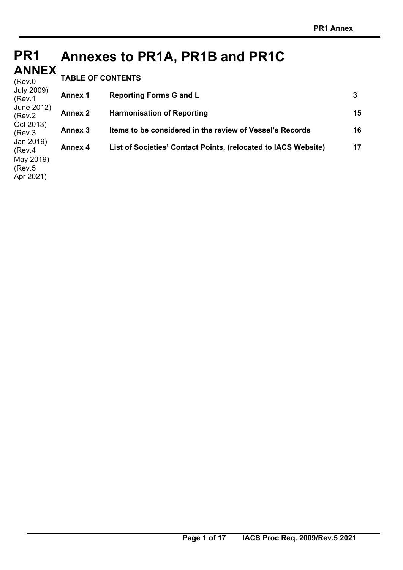#### **PR1 PR1 ANNEX ANNEX**  - -- -- .<br>(Rev.0 July 2009) (Rev.1 **Annexes to PR1A, PR1B and PR1C TABLE OF CONTENTS** Annex 1 Reporting Forms G and L 3

(Rev.5 Apr 2021)

| 11107.1<br>June 2012) |                |                                                                |    |
|-----------------------|----------------|----------------------------------------------------------------|----|
| (Rev.2)               | <b>Annex 2</b> | <b>Harmonisation of Reporting</b>                              | 15 |
| Oct 2013)<br>(Rev.3)  | Annex 3        | Items to be considered in the review of Vessel's Records       | 16 |
| Jan 2019)<br>(Rev.4)  | <b>Annex 4</b> | List of Societies' Contact Points, (relocated to IACS Website) | 17 |
| May 2019)             |                |                                                                |    |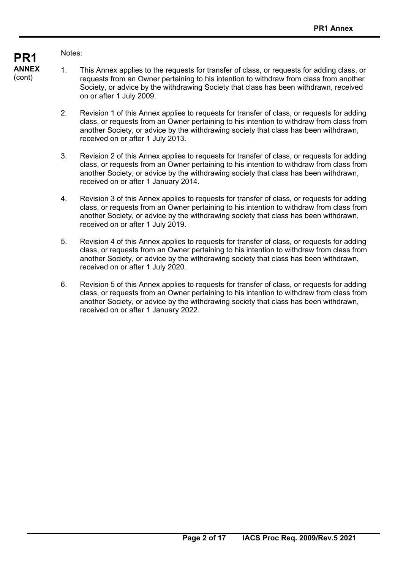### Notes:

- 1. This Annex applies to the requests for transfer of class, or requests for adding class, or requests from an Owner pertaining to his intention to withdraw from class from another Society, or advice by the withdrawing Society that class has been withdrawn, received on or after 1 July 2009.
	- 2. Revision 1 of this Annex applies to requests for transfer of class, or requests for adding class, or requests from an Owner pertaining to his intention to withdraw from class from another Society, or advice by the withdrawing society that class has been withdrawn, received on or after 1 July 2013.
	- 3. Revision 2 of this Annex applies to requests for transfer of class, or requests for adding class, or requests from an Owner pertaining to his intention to withdraw from class from another Society, or advice by the withdrawing society that class has been withdrawn, received on or after 1 January 2014.
	- 4. Revision 3 of this Annex applies to requests for transfer of class, or requests for adding class, or requests from an Owner pertaining to his intention to withdraw from class from another Society, or advice by the withdrawing society that class has been withdrawn, received on or after 1 July 2019.
	- 5. Revision 4 of this Annex applies to requests for transfer of class, or requests for adding class, or requests from an Owner pertaining to his intention to withdraw from class from another Society, or advice by the withdrawing society that class has been withdrawn, received on or after 1 July 2020.
	- 6. Revision 5 of this Annex applies to requests for transfer of class, or requests for adding class, or requests from an Owner pertaining to his intention to withdraw from class from another Society, or advice by the withdrawing society that class has been withdrawn, received on or after 1 January 2022.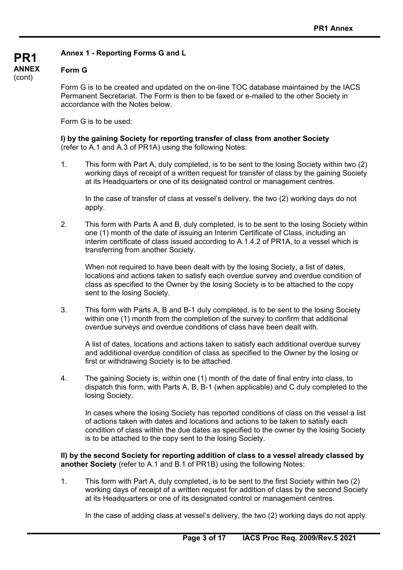### **Annex 1 - Reporting Forms G and L**

### **Form G**

**PR1 ANNEX**  (cont)

> Form G is to be created and updated on the on-line TOC database maintained by the IACS Permanent Secretariat. The Form is then to be faxed or e-mailed to the other Society in accordance with the Notes below.

Form G is to be used:

**I) by the gaining Society for reporting transfer of class from another Society** (refer to A.1 and A.3 of PR1A) using the following Notes:

1. This form with Part A, duly completed, is to be sent to the losing Society within two (2) working days of receipt of a written request for transfer of class by the gaining Society at its Headquarters or one of its designated control or management centres.

In the case of transfer of class at vessel's delivery, the two (2) working days do not apply.

2. This form with Parts A and B, duly completed, is to be sent to the losing Society within one (1) month of the date of issuing an Interim Certificate of Class, including an interim certificate of class issued according to A.1.4.2 of PR1A, to a vessel which is transferring from another Society.

When not required to have been dealt with by the losing Society, a list of dates, locations and actions taken to satisfy each overdue survey and overdue condition of class as specified to the Owner by the losing Society is to be attached to the copy sent to the losing Society.

3. This form with Parts A, B and B-1 duly completed, is to be sent to the losing Society within one (1) month from the completion of the survey to confirm that additional overdue surveys and overdue conditions of class have been dealt with.

A list of dates, locations and actions taken to satisfy each additional overdue survey and additional overdue condition of class as specified to the Owner by the losing or first or withdrawing Society is to be attached.

4. The gaining Society is, within one (1) month of the date of final entry into class, to dispatch this form, with Parts A, B, B-1 (when applicable) and C duly completed to the losing Society.

In cases where the losing Society has reported conditions of class on the vessel a list of actions taken with dates and locations and actions to be taken to satisfy each condition of class within the due dates as specified to the owner by the losing Society is to be attached to the copy sent to the losing Society.

**II) by the second Society for reporting addition of class to a vessel already classed by another Society** (refer to A.1 and B.1 of PR1B) using the following Notes:

1. This form with Part A, duly completed, is to be sent to the first Society within two (2) working days of receipt of a written request for addition of class by the second Society at its Headquarters or one of its designated control or management centres.

In the case of adding class at vessel's delivery, the two (2) working days do not apply.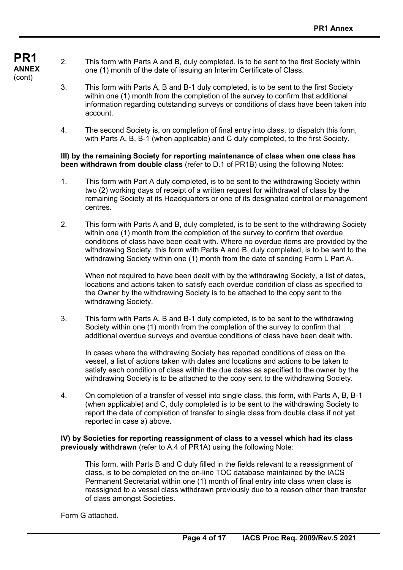- **ANNEX**  2. This form with Parts A and B, duly completed, is to be sent to the first Society within one (1) month of the date of issuing an Interim Certificate of Class.
	- 3. This form with Parts A, B and B-1 duly completed, is to be sent to the first Society within one (1) month from the completion of the survey to confirm that additional information regarding outstanding surveys or conditions of class have been taken into account.
	- 4. The second Society is, on completion of final entry into class, to dispatch this form, with Parts A, B, B-1 (when applicable) and C duly completed, to the first Society.

### **III) by the remaining Society for reporting maintenance of class when one class has been withdrawn from double class** (refer to D.1 of PR1B) using the following Notes:

- 1. This form with Part A duly completed, is to be sent to the withdrawing Society within two (2) working days of receipt of a written request for withdrawal of class by the remaining Society at its Headquarters or one of its designated control or management centres.
- 2. This form with Parts A and B, duly completed, is to be sent to the withdrawing Society within one (1) month from the completion of the survey to confirm that overdue conditions of class have been dealt with. Where no overdue items are provided by the withdrawing Society, this form with Parts A and B, duly completed, is to be sent to the withdrawing Society within one (1) month from the date of sending Form L Part A.

When not required to have been dealt with by the withdrawing Society, a list of dates, locations and actions taken to satisfy each overdue condition of class as specified to the Owner by the withdrawing Society is to be attached to the copy sent to the withdrawing Society.

3. This form with Parts A, B and B-1 duly completed, is to be sent to the withdrawing Society within one (1) month from the completion of the survey to confirm that additional overdue surveys and overdue conditions of class have been dealt with.

In cases where the withdrawing Society has reported conditions of class on the vessel, a list of actions taken with dates and locations and actions to be taken to satisfy each condition of class within the due dates as specified to the owner by the withdrawing Society is to be attached to the copy sent to the withdrawing Society.

4. On completion of a transfer of vessel into single class, this form, with Parts A, B, B-1 (when applicable) and C, duly completed is to be sent to the withdrawing Society to report the date of completion of transfer to single class from double class if not yet reported in case a) above.

### **IV) by Societies for reporting reassignment of class to a vessel which had its class previously withdrawn** (refer to A.4 of PR1A) using the following Note:

This form, with Parts B and C duly filled in the fields relevant to a reassignment of class, is to be completed on the on-line TOC database maintained by the IACS Permanent Secretariat within one (1) month of final entry into class when class is reassigned to a vessel class withdrawn previously due to a reason other than transfer of class amongst Societies.

Form G attached.

**PR1** 

(cont)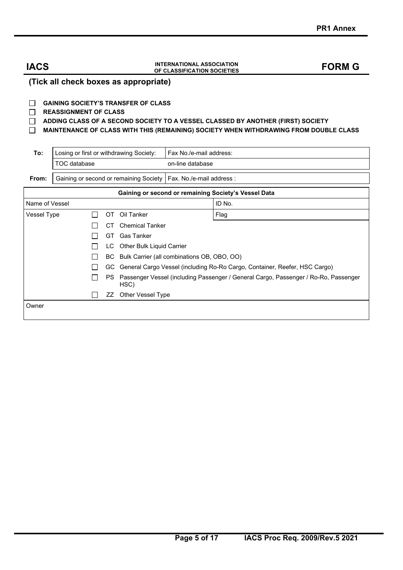## **IACS INTERNATIONAL ASSOCIATION OF CLASSIFICATION SOCIETIES FORM G**

**(Tick all check boxes as appropriate)** 

#### **GAINING SOCIETY'S TRANSFER OF CLASS**

#### **REASSIGNMENT OF CLASS**

**ADDING CLASS OF A SECOND SOCIETY TO A VESSEL CLASSED BY ANOTHER (FIRST) SOCIETY**

#### **MAINTENANCE OF CLASS WITH THIS (REMAINING) SOCIETY WHEN WITHDRAWING FROM DOUBLE CLASS**

| To:            | Losing or first or withdrawing Society: |  |      |                                                      | Fax No./e-mail address:                                                    |                                                                                     |  |  |  |
|----------------|-----------------------------------------|--|------|------------------------------------------------------|----------------------------------------------------------------------------|-------------------------------------------------------------------------------------|--|--|--|
|                | TOC database                            |  |      |                                                      | on-line database                                                           |                                                                                     |  |  |  |
| From:          |                                         |  |      | Gaining or second or remaining Society               | Fax. No./e-mail address :                                                  |                                                                                     |  |  |  |
|                |                                         |  |      | Gaining or second or remaining Society's Vessel Data |                                                                            |                                                                                     |  |  |  |
| Name of Vessel |                                         |  |      |                                                      |                                                                            | ID No.                                                                              |  |  |  |
| Vessel Type    |                                         |  | ОT   | Oil Tanker                                           |                                                                            | Flag                                                                                |  |  |  |
|                |                                         |  | CТ   | <b>Chemical Tanker</b>                               |                                                                            |                                                                                     |  |  |  |
|                |                                         |  | GT.  | Gas Tanker                                           |                                                                            |                                                                                     |  |  |  |
|                |                                         |  | LC   | Other Bulk Liquid Carrier                            |                                                                            |                                                                                     |  |  |  |
|                |                                         |  | BC   | Bulk Carrier (all combinations OB, OBO, OO)          |                                                                            |                                                                                     |  |  |  |
|                |                                         |  | GC . |                                                      | General Cargo Vessel (including Ro-Ro Cargo, Container, Reefer, HSC Cargo) |                                                                                     |  |  |  |
| PS.<br>HSC)    |                                         |  |      |                                                      |                                                                            | Passenger Vessel (including Passenger / General Cargo, Passenger / Ro-Ro, Passenger |  |  |  |
|                |                                         |  | ΖZ   | Other Vessel Type                                    |                                                                            |                                                                                     |  |  |  |
| Owner          |                                         |  |      |                                                      |                                                                            |                                                                                     |  |  |  |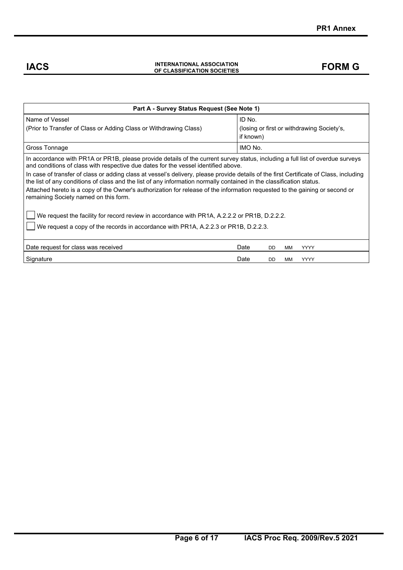## **IACS INTERNATIONAL ASSOCIATION OF CLASSIFICATION SOCIETIES FORM G**

| Part A - Survey Status Request (See Note 1)                                                                                                                                                                                                                    |                                                                   |  |  |  |  |  |  |  |  |
|----------------------------------------------------------------------------------------------------------------------------------------------------------------------------------------------------------------------------------------------------------------|-------------------------------------------------------------------|--|--|--|--|--|--|--|--|
| Name of Vessel<br>(Prior to Transfer of Class or Adding Class or Withdrawing Class)                                                                                                                                                                            | ID No.<br>(losing or first or withdrawing Society's,<br>if known) |  |  |  |  |  |  |  |  |
| Gross Tonnage                                                                                                                                                                                                                                                  | IMO No.                                                           |  |  |  |  |  |  |  |  |
| In accordance with PR1A or PR1B, please provide details of the current survey status, including a full list of overdue surveys<br>and conditions of class with respective due dates for the vessel identified above.                                           |                                                                   |  |  |  |  |  |  |  |  |
| In case of transfer of class or adding class at vessel's delivery, please provide details of the first Certificate of Class, including<br>the list of any conditions of class and the list of any information normally contained in the classification status. |                                                                   |  |  |  |  |  |  |  |  |
| Attached hereto is a copy of the Owner's authorization for release of the information requested to the gaining or second or<br>remaining Society named on this form.                                                                                           |                                                                   |  |  |  |  |  |  |  |  |
| We request the facility for record review in accordance with PR1A, A.2.2.2 or PR1B, D.2.2.2.                                                                                                                                                                   |                                                                   |  |  |  |  |  |  |  |  |
| We request a copy of the records in accordance with PR1A, A.2.2.3 or PR1B, D.2.2.3.                                                                                                                                                                            |                                                                   |  |  |  |  |  |  |  |  |
| Date request for class was received                                                                                                                                                                                                                            | Date<br><b>YYYY</b><br><b>DD</b><br>MM                            |  |  |  |  |  |  |  |  |
| Signature                                                                                                                                                                                                                                                      | Date<br><b>YYYY</b><br><b>DD</b><br>MМ                            |  |  |  |  |  |  |  |  |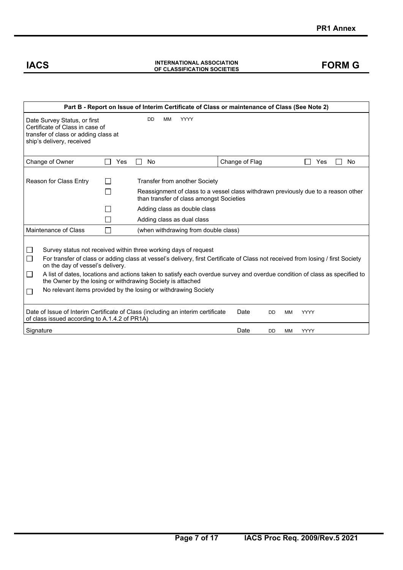## **IACS INTERNATIONAL ASSOCIATION OF CLASSIFICATION SOCIETIES FORM G**

| Part B - Report on Issue of Interim Certificate of Class or maintenance of Class (See Note 2)                                                                                                                                                                                                                                                                                                                                                                                                                                  |                                                                                                                                                                     |     |                                      |                |           |           |           |  |
|--------------------------------------------------------------------------------------------------------------------------------------------------------------------------------------------------------------------------------------------------------------------------------------------------------------------------------------------------------------------------------------------------------------------------------------------------------------------------------------------------------------------------------|---------------------------------------------------------------------------------------------------------------------------------------------------------------------|-----|--------------------------------------|----------------|-----------|-----------|-----------|--|
| DD<br><b>MM</b><br><b>YYYY</b><br>Date Survey Status, or first<br>Certificate of Class in case of<br>transfer of class or adding class at<br>ship's delivery, received                                                                                                                                                                                                                                                                                                                                                         |                                                                                                                                                                     |     |                                      |                |           |           |           |  |
| Change of Owner                                                                                                                                                                                                                                                                                                                                                                                                                                                                                                                |                                                                                                                                                                     | Yes | No                                   | Change of Flag |           |           | No<br>Yes |  |
| <b>Reason for Class Entry</b><br><b>Transfer from another Society</b><br>Reassignment of class to a vessel class withdrawn previously due to a reason other<br>than transfer of class amongst Societies                                                                                                                                                                                                                                                                                                                        |                                                                                                                                                                     |     |                                      |                |           |           |           |  |
|                                                                                                                                                                                                                                                                                                                                                                                                                                                                                                                                |                                                                                                                                                                     |     | Adding class as double class         |                |           |           |           |  |
|                                                                                                                                                                                                                                                                                                                                                                                                                                                                                                                                |                                                                                                                                                                     |     | Adding class as dual class           |                |           |           |           |  |
| Maintenance of Class                                                                                                                                                                                                                                                                                                                                                                                                                                                                                                           |                                                                                                                                                                     |     | (when withdrawing from double class) |                |           |           |           |  |
| Survey status not received within three working days of request<br>□<br>For transfer of class or adding class at vessel's delivery, first Certificate of Class not received from losing / first Society<br>on the day of vessel's delivery.<br>$\Box$<br>A list of dates, locations and actions taken to satisfy each overdue survey and overdue condition of class as specified to<br>the Owner by the losing or withdrawing Society is attached<br>No relevant items provided by the losing or withdrawing Society<br>$\Box$ |                                                                                                                                                                     |     |                                      |                |           |           |           |  |
|                                                                                                                                                                                                                                                                                                                                                                                                                                                                                                                                | Date of Issue of Interim Certificate of Class (including an interim certificate<br>Date<br><b>DD</b><br>МM<br>YYYY<br>of class issued according to A.1.4.2 of PR1A) |     |                                      |                |           |           |           |  |
| Signature                                                                                                                                                                                                                                                                                                                                                                                                                                                                                                                      |                                                                                                                                                                     |     |                                      | Date           | <b>DD</b> | <b>MM</b> | YYYY      |  |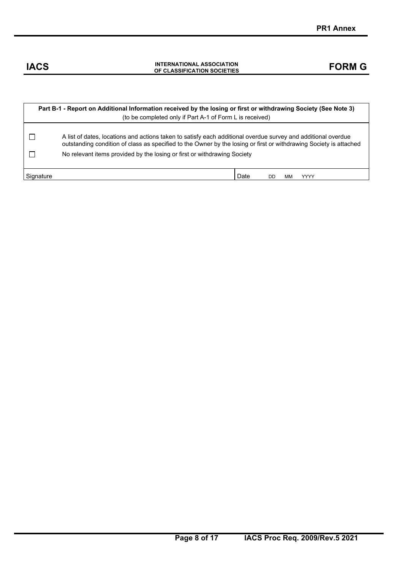| Part B-1 - Report on Additional Information received by the losing or first or withdrawing Society (See Note 3)<br>(to be completed only if Part A-1 of Form L is received) |                                                                                                                                                                                                                                     |  |  |  |  |  |  |  |
|-----------------------------------------------------------------------------------------------------------------------------------------------------------------------------|-------------------------------------------------------------------------------------------------------------------------------------------------------------------------------------------------------------------------------------|--|--|--|--|--|--|--|
|                                                                                                                                                                             | A list of dates, locations and actions taken to satisfy each additional overdue survey and additional overdue<br>outstanding condition of class as specified to the Owner by the losing or first or withdrawing Society is attached |  |  |  |  |  |  |  |
|                                                                                                                                                                             | No relevant items provided by the losing or first or withdrawing Society                                                                                                                                                            |  |  |  |  |  |  |  |
| Signature                                                                                                                                                                   | Date<br>YYYY<br>DП                                                                                                                                                                                                                  |  |  |  |  |  |  |  |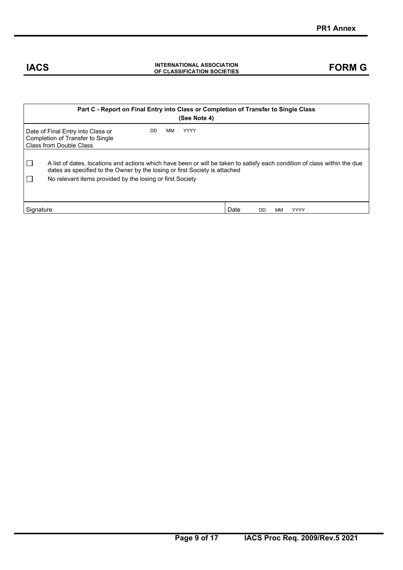| Part C - Report on Final Entry into Class or Completion of Transfer to Single Class<br>(See Note 4)                                                                                                                                                                  |  |  |  |  |  |  |  |  |
|----------------------------------------------------------------------------------------------------------------------------------------------------------------------------------------------------------------------------------------------------------------------|--|--|--|--|--|--|--|--|
| ΜМ<br><b>YYYY</b><br>DD.<br>Date of Final Entry into Class or<br>Completion of Transfer to Single<br>Class from Double Class                                                                                                                                         |  |  |  |  |  |  |  |  |
| A list of dates, locations and actions which have been or will be taken to satisfy each condition of class within the due<br>dates as specified to the Owner by the losing or first Society is attached<br>No relevant items provided by the losing or first Society |  |  |  |  |  |  |  |  |
| Date<br>Signature<br>YYYY<br>DD.<br>мм                                                                                                                                                                                                                               |  |  |  |  |  |  |  |  |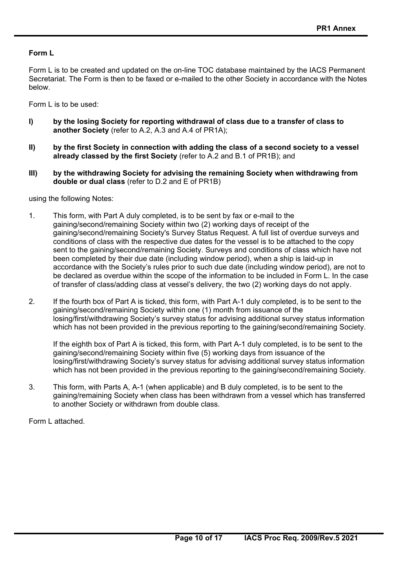### **Form L**

Form L is to be created and updated on the on-line TOC database maintained by the IACS Permanent Secretariat. The Form is then to be faxed or e-mailed to the other Society in accordance with the Notes below.

Form L is to be used:

- **I) by the losing Society for reporting withdrawal of class due to a transfer of class to another Society** (refer to A.2, A.3 and A.4 of PR1A);
- **II) by the first Society in connection with adding the class of a second society to a vessel already classed by the first Society** (refer to A.2 and B.1 of PR1B); and
- **III) by the withdrawing Society for advising the remaining Society when withdrawing from double or dual class** (refer to D.2 and E of PR1B)

using the following Notes:

- 1. This form, with Part A duly completed, is to be sent by fax or e-mail to the gaining/second/remaining Society within two (2) working days of receipt of the gaining/second/remaining Society's Survey Status Request. A full list of overdue surveys and conditions of class with the respective due dates for the vessel is to be attached to the copy sent to the gaining/second/remaining Society. Surveys and conditions of class which have not been completed by their due date (including window period), when a ship is laid-up in accordance with the Society's rules prior to such due date (including window period), are not to be declared as overdue within the scope of the information to be included in Form L. In the case of transfer of class/adding class at vessel's delivery, the two (2) working days do not apply.
- 2. If the fourth box of Part A is ticked, this form, with Part A-1 duly completed, is to be sent to the gaining/second/remaining Society within one (1) month from issuance of the losing/first/withdrawing Society's survey status for advising additional survey status information which has not been provided in the previous reporting to the gaining/second/remaining Society.

 If the eighth box of Part A is ticked, this form, with Part A-1 duly completed, is to be sent to the gaining/second/remaining Society within five (5) working days from issuance of the losing/first/withdrawing Society's survey status for advising additional survey status information which has not been provided in the previous reporting to the gaining/second/remaining Society.

3. This form, with Parts A, A-1 (when applicable) and B duly completed, is to be sent to the gaining/remaining Society when class has been withdrawn from a vessel which has transferred to another Society or withdrawn from double class.

Form L attached.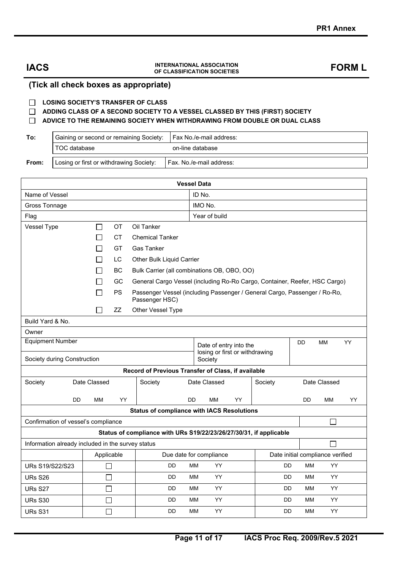#### **(Tick all check boxes as appropriate)**

#### **LOSING SOCIETY'S TRANSFER OF CLASS**

 **ADDING CLASS OF A SECOND SOCIETY TO A VESSEL CLASSED BY THIS (FIRST) SOCIETY** 

#### **ADVICE TO THE REMAINING SOCIETY WHEN WITHDRAWING FROM DOUBLE OR DUAL CLASS**

| To: | Gaining or second or remaining Society:   Fax No./e-mail address: |                  |  |  |  |  |
|-----|-------------------------------------------------------------------|------------------|--|--|--|--|
|     | TOC database                                                      | on-line database |  |  |  |  |
|     |                                                                   |                  |  |  |  |  |
|     |                                                                   |                  |  |  |  |  |

**From:** Losing or first or withdrawing Society: | Fax. No./e-mail address:

| <b>Vessel Data</b>                                |                                                                                                   |                          |                                                                            |           |                                                                                   |    |           |  |           |                                  |    |
|---------------------------------------------------|---------------------------------------------------------------------------------------------------|--------------------------|----------------------------------------------------------------------------|-----------|-----------------------------------------------------------------------------------|----|-----------|--|-----------|----------------------------------|----|
| Name of Vessel                                    | ID No.                                                                                            |                          |                                                                            |           |                                                                                   |    |           |  |           |                                  |    |
| <b>Gross Tonnage</b>                              | IMO No.                                                                                           |                          |                                                                            |           |                                                                                   |    |           |  |           |                                  |    |
| Flag                                              |                                                                                                   |                          |                                                                            |           | Year of build                                                                     |    |           |  |           |                                  |    |
| Vessel Type<br><b>OT</b><br>Oil Tanker<br>$\Box$  |                                                                                                   |                          |                                                                            |           |                                                                                   |    |           |  |           |                                  |    |
|                                                   | CT.<br><b>Chemical Tanker</b>                                                                     |                          |                                                                            |           |                                                                                   |    |           |  |           |                                  |    |
|                                                   |                                                                                                   | GT                       | <b>Gas Tanker</b>                                                          |           |                                                                                   |    |           |  |           |                                  |    |
|                                                   |                                                                                                   | LC.                      | Other Bulk Liquid Carrier                                                  |           |                                                                                   |    |           |  |           |                                  |    |
|                                                   |                                                                                                   | <b>BC</b>                | Bulk Carrier (all combinations OB, OBO, OO)                                |           |                                                                                   |    |           |  |           |                                  |    |
|                                                   |                                                                                                   | GC                       | General Cargo Vessel (including Ro-Ro Cargo, Container, Reefer, HSC Cargo) |           |                                                                                   |    |           |  |           |                                  |    |
|                                                   | Passenger Vessel (including Passenger / General Cargo, Passenger / Ro-Ro,<br>PS<br>Passenger HSC) |                          |                                                                            |           |                                                                                   |    |           |  |           |                                  |    |
|                                                   | $\mathbf{I}$                                                                                      | ZZ                       | Other Vessel Type                                                          |           |                                                                                   |    |           |  |           |                                  |    |
| Build Yard & No.                                  |                                                                                                   |                          |                                                                            |           |                                                                                   |    |           |  |           |                                  |    |
| Owner                                             |                                                                                                   |                          |                                                                            |           |                                                                                   |    |           |  |           |                                  |    |
| <b>Equipment Number</b>                           |                                                                                                   |                          |                                                                            |           | DD<br><b>MM</b><br>YY<br>Date of entry into the<br>losing or first or withdrawing |    |           |  |           |                                  |    |
| Society during Construction                       |                                                                                                   |                          |                                                                            |           | Society                                                                           |    |           |  |           |                                  |    |
|                                                   |                                                                                                   |                          | Record of Previous Transfer of Class, if available                         |           |                                                                                   |    |           |  |           |                                  |    |
| Society                                           | Date Classed                                                                                      |                          | Society                                                                    |           | Date Classed<br>Date Classed<br>Society                                           |    |           |  |           |                                  |    |
| DD                                                | <b>MM</b>                                                                                         | YY                       |                                                                            | <b>DD</b> | ΜМ                                                                                | YY |           |  | <b>DD</b> | МM                               | YY |
|                                                   |                                                                                                   |                          | <b>Status of compliance with IACS Resolutions</b>                          |           |                                                                                   |    |           |  |           |                                  |    |
| Confirmation of vessel's compliance               |                                                                                                   |                          |                                                                            |           |                                                                                   |    |           |  |           |                                  |    |
|                                                   |                                                                                                   |                          | Status of compliance with URs S19/22/23/26/27/30/31, if applicable         |           |                                                                                   |    |           |  |           |                                  |    |
| Information already included in the survey status |                                                                                                   |                          |                                                                            |           |                                                                                   |    |           |  |           | Г                                |    |
| Applicable                                        |                                                                                                   |                          |                                                                            |           | Due date for compliance                                                           |    |           |  |           | Date initial compliance verified |    |
| URs S19/S22/S23                                   |                                                                                                   | П                        | DD                                                                         | MМ        | YY.                                                                               |    | DD        |  | MM        | YY                               |    |
| <b>URs S26</b>                                    |                                                                                                   | $\Box$                   | DD                                                                         | MМ        | YY                                                                                |    | DD        |  | МM        | YY                               |    |
| URs S27                                           |                                                                                                   | $\overline{\phantom{0}}$ | DD                                                                         | MМ        | YY.                                                                               |    | <b>DD</b> |  | MM        | YY.                              |    |
| <b>URs S30</b>                                    |                                                                                                   | $\Box$                   | DD                                                                         | MМ        | YY                                                                                |    | DD        |  | МM        | YY.                              |    |
| DD<br>URs S31<br>$\mathcal{L}$                    |                                                                                                   |                          |                                                                            | MМ        | YY                                                                                |    | DD        |  | MМ        | YY                               |    |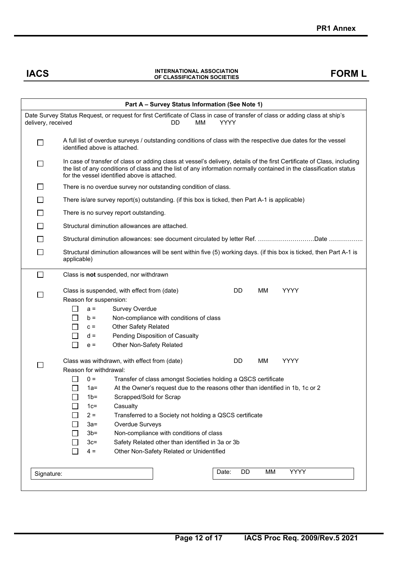| Part A - Survey Status Information (See Note 1) |                                                                                                                                                                                                                                                                                                           |  |  |  |  |  |  |  |  |  |
|-------------------------------------------------|-----------------------------------------------------------------------------------------------------------------------------------------------------------------------------------------------------------------------------------------------------------------------------------------------------------|--|--|--|--|--|--|--|--|--|
|                                                 | Date Survey Status Request, or request for first Certificate of Class in case of transfer of class or adding class at ship's<br>MМ<br>YYYY<br>delivery, received<br>DD.                                                                                                                                   |  |  |  |  |  |  |  |  |  |
| $\Box$                                          | A full list of overdue surveys / outstanding conditions of class with the respective due dates for the vessel<br>identified above is attached.                                                                                                                                                            |  |  |  |  |  |  |  |  |  |
|                                                 | In case of transfer of class or adding class at vessel's delivery, details of the first Certificate of Class, including<br>the list of any conditions of class and the list of any information normally contained in the classification status<br>for the vessel identified above is attached.            |  |  |  |  |  |  |  |  |  |
| $\sim$                                          | There is no overdue survey nor outstanding condition of class.                                                                                                                                                                                                                                            |  |  |  |  |  |  |  |  |  |
|                                                 | There is/are survey report(s) outstanding. (if this box is ticked, then Part A-1 is applicable)                                                                                                                                                                                                           |  |  |  |  |  |  |  |  |  |
|                                                 | There is no survey report outstanding.                                                                                                                                                                                                                                                                    |  |  |  |  |  |  |  |  |  |
|                                                 | Structural diminution allowances are attached.                                                                                                                                                                                                                                                            |  |  |  |  |  |  |  |  |  |
|                                                 |                                                                                                                                                                                                                                                                                                           |  |  |  |  |  |  |  |  |  |
|                                                 | Structural diminution allowances: see document circulated by letter Ref. Date                                                                                                                                                                                                                             |  |  |  |  |  |  |  |  |  |
| $\mathcal{L}$                                   | Structural diminution allowances will be sent within five (5) working days. (if this box is ticked, then Part A-1 is<br>applicable)                                                                                                                                                                       |  |  |  |  |  |  |  |  |  |
| $\Box$                                          | Class is not suspended, nor withdrawn                                                                                                                                                                                                                                                                     |  |  |  |  |  |  |  |  |  |
|                                                 | <b>YYYY</b><br>Class is suspended, with effect from (date)<br>DD.<br>MМ<br>Reason for suspension:<br>Survey Overdue<br>$a =$<br>Non-compliance with conditions of class<br>$b =$<br><b>Other Safety Related</b><br>$c =$<br>Pending Disposition of Casualty<br>$d =$<br>Other Non-Safety Related<br>$e =$ |  |  |  |  |  |  |  |  |  |
|                                                 | Class was withdrawn, with effect from (date)<br>DD.<br>MМ<br>YYYY                                                                                                                                                                                                                                         |  |  |  |  |  |  |  |  |  |
|                                                 | Reason for withdrawal:                                                                                                                                                                                                                                                                                    |  |  |  |  |  |  |  |  |  |
|                                                 | $0 =$<br>Transfer of class amongst Societies holding a QSCS certificate                                                                                                                                                                                                                                   |  |  |  |  |  |  |  |  |  |
|                                                 | At the Owner's request due to the reasons other than identified in 1b, 1c or 2<br>1a=                                                                                                                                                                                                                     |  |  |  |  |  |  |  |  |  |
|                                                 | Scrapped/Sold for Scrap<br>$\mathbf{I}$<br>1 <sub>b</sub>                                                                                                                                                                                                                                                 |  |  |  |  |  |  |  |  |  |
|                                                 | Casualty<br>$1c=$                                                                                                                                                                                                                                                                                         |  |  |  |  |  |  |  |  |  |
|                                                 | $2 =$<br>Transferred to a Society not holding a QSCS certificate                                                                                                                                                                                                                                          |  |  |  |  |  |  |  |  |  |
|                                                 | Overdue Surveys<br>$3a=$                                                                                                                                                                                                                                                                                  |  |  |  |  |  |  |  |  |  |
|                                                 | $3b=$<br>Non-compliance with conditions of class                                                                                                                                                                                                                                                          |  |  |  |  |  |  |  |  |  |
|                                                 | Safety Related other than identified in 3a or 3b<br>$3c=$                                                                                                                                                                                                                                                 |  |  |  |  |  |  |  |  |  |
|                                                 | Other Non-Safety Related or Unidentified<br>$4 =$                                                                                                                                                                                                                                                         |  |  |  |  |  |  |  |  |  |
| Signature:                                      | <b>YYYY</b><br>DD<br>MM<br>Date:                                                                                                                                                                                                                                                                          |  |  |  |  |  |  |  |  |  |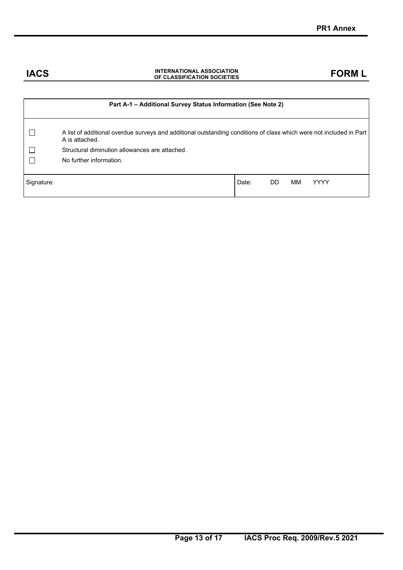|            | Part A-1 - Additional Survey Status Information (See Note 2)                                                                          |       |     |    |             |
|------------|---------------------------------------------------------------------------------------------------------------------------------------|-------|-----|----|-------------|
|            | A list of additional overdue surveys and additional outstanding conditions of class which were not included in Part<br>A is attached. |       |     |    |             |
|            | Structural diminution allowances are attached.                                                                                        |       |     |    |             |
|            | No further information.                                                                                                               |       |     |    |             |
|            |                                                                                                                                       |       |     |    |             |
| Signature: |                                                                                                                                       | Date: | DD. | мм | <b>YYYY</b> |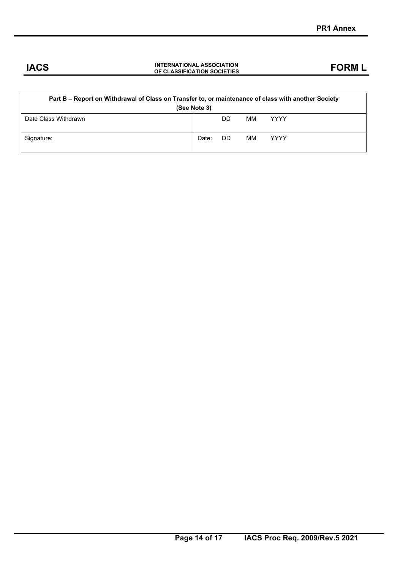| Part B – Report on Withdrawal of Class on Transfer to, or maintenance of class with another Society<br>(See Note 3) |       |     |    |             |  |  |  |  |  |
|---------------------------------------------------------------------------------------------------------------------|-------|-----|----|-------------|--|--|--|--|--|
| Date Class Withdrawn                                                                                                |       | DD. | ΜМ | <b>YYYY</b> |  |  |  |  |  |
| Signature:                                                                                                          | Date: | DD. | MМ | <b>YYYY</b> |  |  |  |  |  |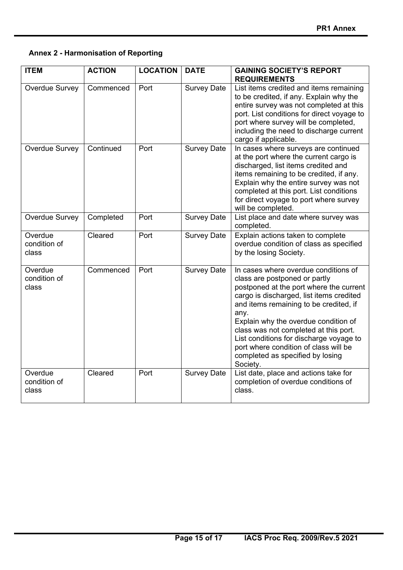### **Annex 2 - Harmonisation of Reporting**

| <b>ITEM</b>                      | <b>ACTION</b> | <b>LOCATION</b> | <b>DATE</b>        | <b>GAINING SOCIETY'S REPORT</b><br><b>REQUIREMENTS</b>                                                                                                                                                                                                                                                                                                                                                                              |
|----------------------------------|---------------|-----------------|--------------------|-------------------------------------------------------------------------------------------------------------------------------------------------------------------------------------------------------------------------------------------------------------------------------------------------------------------------------------------------------------------------------------------------------------------------------------|
| Overdue Survey                   | Commenced     | Port            | <b>Survey Date</b> | List items credited and items remaining<br>to be credited, if any. Explain why the<br>entire survey was not completed at this<br>port. List conditions for direct voyage to<br>port where survey will be completed,<br>including the need to discharge current<br>cargo if applicable.                                                                                                                                              |
| Overdue Survey                   | Continued     | Port            | <b>Survey Date</b> | In cases where surveys are continued<br>at the port where the current cargo is<br>discharged, list items credited and<br>items remaining to be credited, if any.<br>Explain why the entire survey was not<br>completed at this port. List conditions<br>for direct voyage to port where survey<br>will be completed.                                                                                                                |
| Overdue Survey                   | Completed     | Port            | <b>Survey Date</b> | List place and date where survey was<br>completed.                                                                                                                                                                                                                                                                                                                                                                                  |
| Overdue<br>condition of<br>class | Cleared       | Port            | <b>Survey Date</b> | Explain actions taken to complete<br>overdue condition of class as specified<br>by the losing Society.                                                                                                                                                                                                                                                                                                                              |
| Overdue<br>condition of<br>class | Commenced     | Port            | <b>Survey Date</b> | In cases where overdue conditions of<br>class are postponed or partly<br>postponed at the port where the current<br>cargo is discharged, list items credited<br>and items remaining to be credited, if<br>any.<br>Explain why the overdue condition of<br>class was not completed at this port.<br>List conditions for discharge voyage to<br>port where condition of class will be<br>completed as specified by losing<br>Society. |
| Overdue<br>condition of<br>class | Cleared       | Port            | <b>Survey Date</b> | List date, place and actions take for<br>completion of overdue conditions of<br>class.                                                                                                                                                                                                                                                                                                                                              |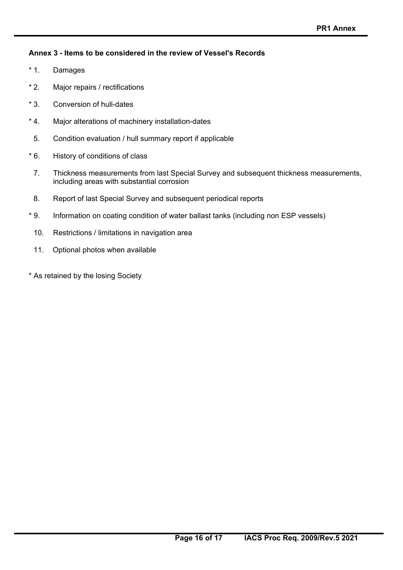### **Annex 3 - Items to be considered in the review of Vessel's Records**

- \* 1. Damages
- \* 2. Major repairs / rectifications
- \* 3. Conversion of hull-dates
- \* 4. Major alterations of machinery installation-dates
- 5. Condition evaluation / hull summary report if applicable
- \* 6. History of conditions of class
	- 7. Thickness measurements from last Special Survey and subsequent thickness measurements, including areas with substantial corrosion
	- 8. Report of last Special Survey and subsequent periodical reports
- \* 9. Information on coating condition of water ballast tanks (including non ESP vessels)
	- 10. Restrictions / limitations in navigation area
	- 11. Optional photos when available
- \* As retained by the losing Society